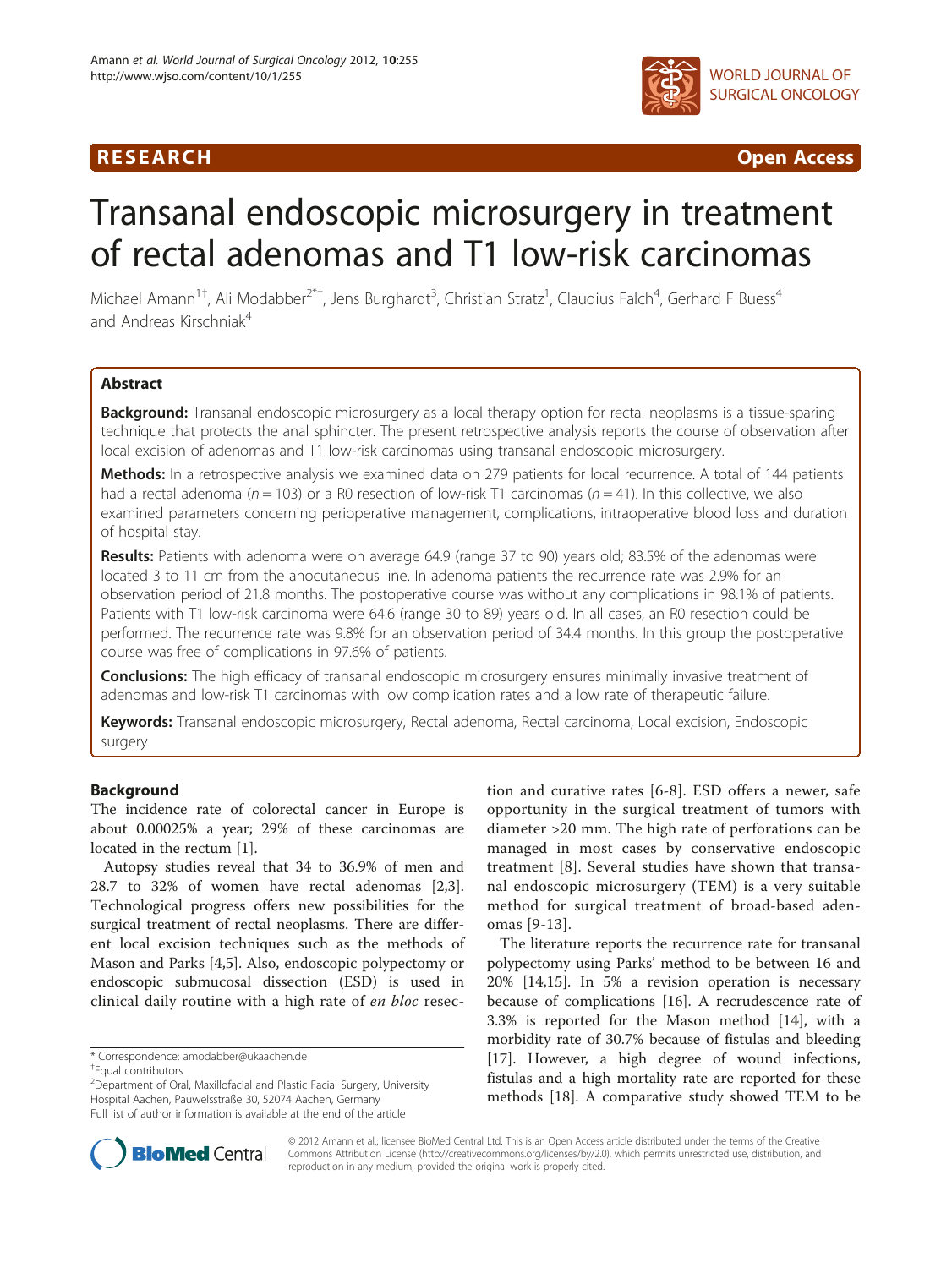

**RESEARCH CHINESE ARCH CHINESE ARCHITECT ACCESS** 

# Transanal endoscopic microsurgery in treatment of rectal adenomas and T1 low-risk carcinomas

Michael Amann<sup>1†</sup>, Ali Modabber<sup>2\*†</sup>, Jens Burghardt<sup>3</sup>, Christian Stratz<sup>1</sup>, Claudius Falch<sup>4</sup>, Gerhard F Buess<sup>4</sup> and Andreas Kirschniak<sup>4</sup>

# **Abstract**

**Background:** Transanal endoscopic microsurgery as a local therapy option for rectal neoplasms is a tissue-sparing technique that protects the anal sphincter. The present retrospective analysis reports the course of observation after local excision of adenomas and T1 low-risk carcinomas using transanal endoscopic microsurgery.

Methods: In a retrospective analysis we examined data on 279 patients for local recurrence. A total of 144 patients had a rectal adenoma ( $n = 103$ ) or a R0 resection of low-risk T1 carcinomas ( $n = 41$ ). In this collective, we also examined parameters concerning perioperative management, complications, intraoperative blood loss and duration of hospital stay.

Results: Patients with adenoma were on average 64.9 (range 37 to 90) years old; 83.5% of the adenomas were located 3 to 11 cm from the anocutaneous line. In adenoma patients the recurrence rate was 2.9% for an observation period of 21.8 months. The postoperative course was without any complications in 98.1% of patients. Patients with T1 low-risk carcinoma were 64.6 (range 30 to 89) years old. In all cases, an R0 resection could be performed. The recurrence rate was 9.8% for an observation period of 34.4 months. In this group the postoperative course was free of complications in 97.6% of patients.

**Conclusions:** The high efficacy of transanal endoscopic microsurgery ensures minimally invasive treatment of adenomas and low-risk T1 carcinomas with low complication rates and a low rate of therapeutic failure.

Keywords: Transanal endoscopic microsurgery, Rectal adenoma, Rectal carcinoma, Local excision, Endoscopic surgery

# Background

The incidence rate of colorectal cancer in Europe is about 0.00025% a year; 29% of these carcinomas are located in the rectum [[1\]](#page-6-0).

Autopsy studies reveal that 34 to 36.9% of men and 28.7 to 32% of women have rectal adenomas [\[2,3](#page-6-0)]. Technological progress offers new possibilities for the surgical treatment of rectal neoplasms. There are different local excision techniques such as the methods of Mason and Parks [\[4,5](#page-6-0)]. Also, endoscopic polypectomy or endoscopic submucosal dissection (ESD) is used in clinical daily routine with a high rate of en bloc resec-

<sup>2</sup> Department of Oral, Maxillofacial and Plastic Facial Surgery, University Hospital Aachen, Pauwelsstraße 30, 52074 Aachen, Germany Full list of author information is available at the end of the article

tion and curative rates [[6](#page-7-0)-[8](#page-7-0)]. ESD offers a newer, safe opportunity in the surgical treatment of tumors with diameter >20 mm. The high rate of perforations can be managed in most cases by conservative endoscopic treatment [\[8](#page-7-0)]. Several studies have shown that transanal endoscopic microsurgery (TEM) is a very suitable method for surgical treatment of broad-based adenomas [[9](#page-7-0)-[13](#page-7-0)].

The literature reports the recurrence rate for transanal polypectomy using Parks' method to be between 16 and 20% [\[14,15](#page-7-0)]. In 5% a revision operation is necessary because of complications [[16](#page-7-0)]. A recrudescence rate of 3.3% is reported for the Mason method [\[14\]](#page-7-0), with a morbidity rate of 30.7% because of fistulas and bleeding [[17\]](#page-7-0). However, a high degree of wound infections, fistulas and a high mortality rate are reported for these methods [\[18\]](#page-7-0). A comparative study showed TEM to be



© 2012 Amann et al.; licensee BioMed Central Ltd. This is an Open Access article distributed under the terms of the Creative Commons Attribution License [\(http://creativecommons.org/licenses/by/2.0\)](http://creativecommons.org/licenses/by/2.0), which permits unrestricted use, distribution, and reproduction in any medium, provided the original work is properly cited.

<sup>\*</sup> Correspondence: [amodabber@ukaachen.de](mailto:amodabber@ukaachen.de) †

Equal contributors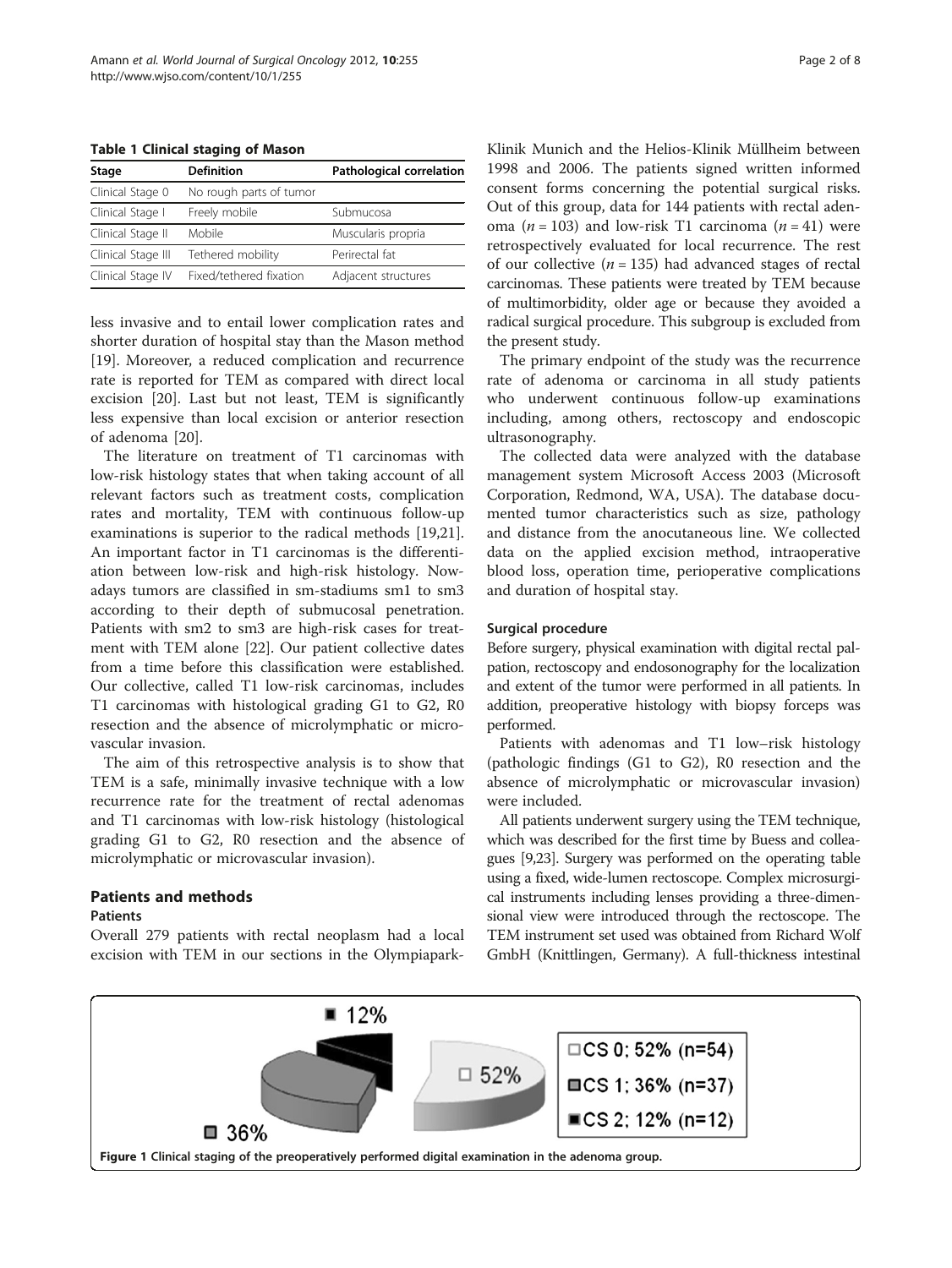<span id="page-1-0"></span>Table 1 Clinical staging of Mason

| Stage              | <b>Definition</b>       | Pathological correlation |
|--------------------|-------------------------|--------------------------|
| Clinical Stage 0   | No rough parts of tumor |                          |
| Clinical Stage I   | Freely mobile           | Submucosa                |
| Clinical Stage II  | Mobile                  | Muscularis propria       |
| Clinical Stage III | Tethered mobility       | Perirectal fat           |
| Clinical Stage IV  | Fixed/tethered fixation | Adjacent structures      |

less invasive and to entail lower complication rates and shorter duration of hospital stay than the Mason method [[19\]](#page-7-0). Moreover, a reduced complication and recurrence rate is reported for TEM as compared with direct local excision [[20\]](#page-7-0). Last but not least, TEM is significantly less expensive than local excision or anterior resection of adenoma [[20\]](#page-7-0).

The literature on treatment of T1 carcinomas with low-risk histology states that when taking account of all relevant factors such as treatment costs, complication rates and mortality, TEM with continuous follow-up examinations is superior to the radical methods [\[19,21](#page-7-0)]. An important factor in T1 carcinomas is the differentiation between low-risk and high-risk histology. Nowadays tumors are classified in sm-stadiums sm1 to sm3 according to their depth of submucosal penetration. Patients with sm2 to sm3 are high-risk cases for treatment with TEM alone [\[22](#page-7-0)]. Our patient collective dates from a time before this classification were established. Our collective, called T1 low-risk carcinomas, includes T1 carcinomas with histological grading G1 to G2, R0 resection and the absence of microlymphatic or microvascular invasion.

The aim of this retrospective analysis is to show that TEM is a safe, minimally invasive technique with a low recurrence rate for the treatment of rectal adenomas and T1 carcinomas with low-risk histology (histological grading G1 to G2, R0 resection and the absence of microlymphatic or microvascular invasion).

# Patients and methods

### Patients

Overall 279 patients with rectal neoplasm had a local excision with TEM in our sections in the OlympiaparkKlinik Munich and the Helios-Klinik Müllheim between 1998 and 2006. The patients signed written informed consent forms concerning the potential surgical risks. Out of this group, data for 144 patients with rectal adenoma ( $n = 103$ ) and low-risk T1 carcinoma ( $n = 41$ ) were retrospectively evaluated for local recurrence. The rest of our collective ( $n = 135$ ) had advanced stages of rectal carcinomas. These patients were treated by TEM because of multimorbidity, older age or because they avoided a radical surgical procedure. This subgroup is excluded from the present study.

The primary endpoint of the study was the recurrence rate of adenoma or carcinoma in all study patients who underwent continuous follow-up examinations including, among others, rectoscopy and endoscopic ultrasonography.

The collected data were analyzed with the database management system Microsoft Access 2003 (Microsoft Corporation, Redmond, WA, USA). The database documented tumor characteristics such as size, pathology and distance from the anocutaneous line. We collected data on the applied excision method, intraoperative blood loss, operation time, perioperative complications and duration of hospital stay.

#### Surgical procedure

Before surgery, physical examination with digital rectal palpation, rectoscopy and endosonography for the localization and extent of the tumor were performed in all patients. In addition, preoperative histology with biopsy forceps was performed.

Patients with adenomas and T1 low–risk histology (pathologic findings (G1 to G2), R0 resection and the absence of microlymphatic or microvascular invasion) were included.

All patients underwent surgery using the TEM technique, which was described for the first time by Buess and colleagues [[9,23\]](#page-7-0). Surgery was performed on the operating table using a fixed, wide-lumen rectoscope. Complex microsurgical instruments including lenses providing a three-dimensional view were introduced through the rectoscope. The TEM instrument set used was obtained from Richard Wolf GmbH (Knittlingen, Germany). A full-thickness intestinal

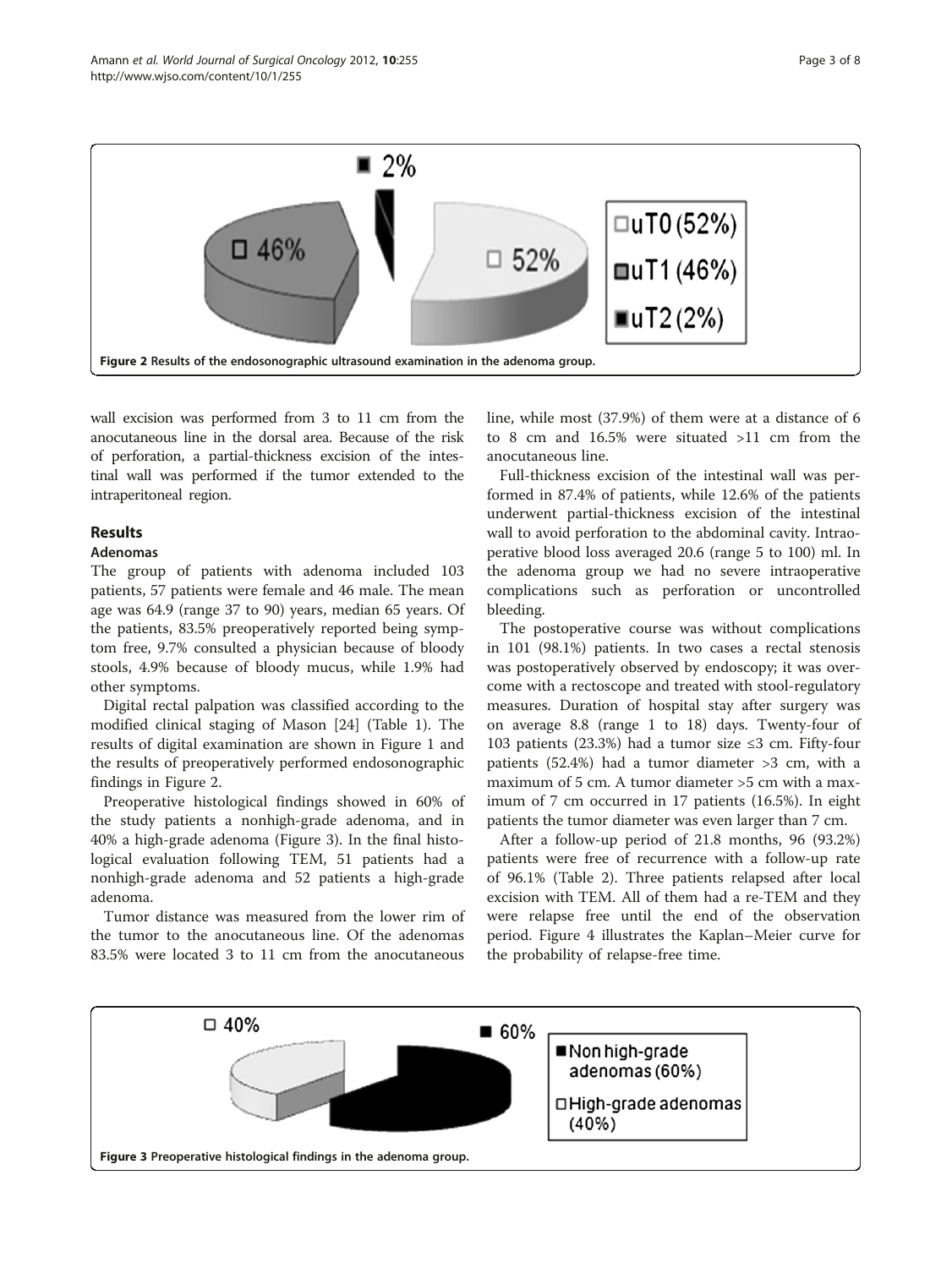<span id="page-2-0"></span>

wall excision was performed from 3 to 11 cm from the anocutaneous line in the dorsal area. Because of the risk of perforation, a partial-thickness excision of the intestinal wall was performed if the tumor extended to the intraperitoneal region.

# **Results**

# Adenomas

The group of patients with adenoma included 103 patients, 57 patients were female and 46 male. The mean age was 64.9 (range 37 to 90) years, median 65 years. Of the patients, 83.5% preoperatively reported being symptom free, 9.7% consulted a physician because of bloody stools, 4.9% because of bloody mucus, while 1.9% had other symptoms.

Digital rectal palpation was classified according to the modified clinical staging of Mason [\[24](#page-7-0)] (Table [1\)](#page-1-0). The results of digital examination are shown in Figure [1](#page-1-0) and the results of preoperatively performed endosonographic findings in Figure 2.

Preoperative histological findings showed in 60% of the study patients a nonhigh-grade adenoma, and in 40% a high-grade adenoma (Figure 3). In the final histological evaluation following TEM, 51 patients had a nonhigh-grade adenoma and 52 patients a high-grade adenoma.

Tumor distance was measured from the lower rim of the tumor to the anocutaneous line. Of the adenomas 83.5% were located 3 to 11 cm from the anocutaneous line, while most (37.9%) of them were at a distance of 6 to 8 cm and 16.5% were situated >11 cm from the anocutaneous line.

Full-thickness excision of the intestinal wall was performed in 87.4% of patients, while 12.6% of the patients underwent partial-thickness excision of the intestinal wall to avoid perforation to the abdominal cavity. Intraoperative blood loss averaged 20.6 (range 5 to 100) ml. In the adenoma group we had no severe intraoperative complications such as perforation or uncontrolled bleeding.

The postoperative course was without complications in 101 (98.1%) patients. In two cases a rectal stenosis was postoperatively observed by endoscopy; it was overcome with a rectoscope and treated with stool-regulatory measures. Duration of hospital stay after surgery was on average 8.8 (range 1 to 18) days. Twenty-four of 103 patients (23.3%) had a tumor size ≤3 cm. Fifty-four patients (52.4%) had a tumor diameter >3 cm, with a maximum of 5 cm. A tumor diameter >5 cm with a maximum of 7 cm occurred in 17 patients (16.5%). In eight patients the tumor diameter was even larger than 7 cm.

After a follow-up period of 21.8 months, 96 (93.2%) patients were free of recurrence with a follow-up rate of 96.1% (Table [2](#page-3-0)). Three patients relapsed after local excision with TEM. All of them had a re-TEM and they were relapse free until the end of the observation period. Figure [4](#page-3-0) illustrates the Kaplan–Meier curve for the probability of relapse-free time.

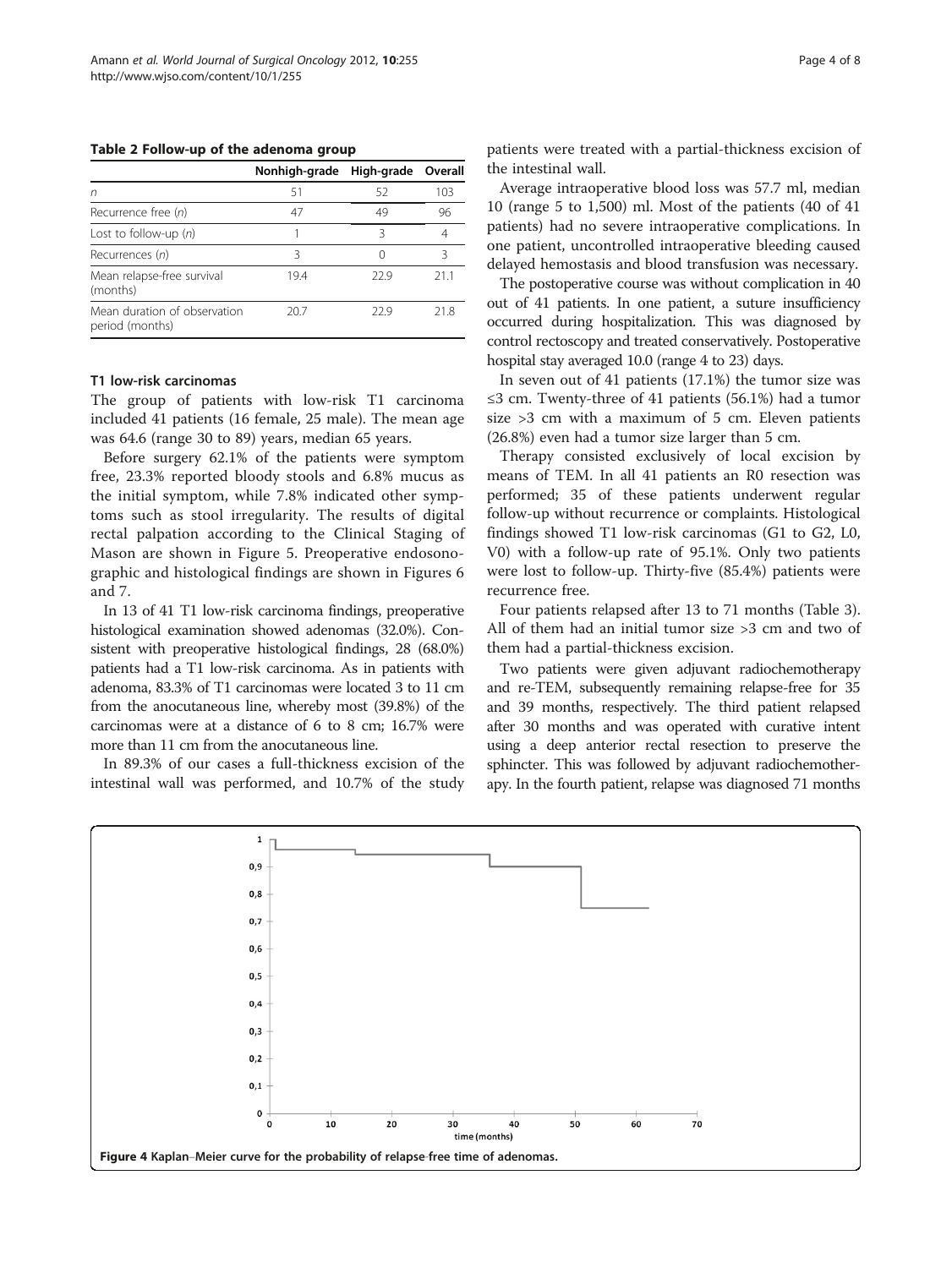<span id="page-3-0"></span>Table 2 Follow-up of the adenoma group

|                                                 | Nonhigh-grade High-grade Overall |      |     |
|-------------------------------------------------|----------------------------------|------|-----|
| n                                               | 51                               | 52   | 103 |
| Recurrence free (n)                             | 47                               | 49   | 96  |
| Lost to follow-up $(n)$                         |                                  | ζ    |     |
| Recurrences (n)                                 | ζ                                |      | ς   |
| Mean relapse-free survival<br>(months)          | 194                              | 229  | 211 |
| Mean duration of observation<br>period (months) | 20.7                             | 22.9 | 218 |

### T1 low-risk carcinomas

The group of patients with low-risk T1 carcinoma included 41 patients (16 female, 25 male). The mean age was 64.6 (range 30 to 89) years, median 65 years.

Before surgery 62.1% of the patients were symptom free, 23.3% reported bloody stools and 6.8% mucus as the initial symptom, while 7.8% indicated other symptoms such as stool irregularity. The results of digital rectal palpation according to the Clinical Staging of Mason are shown in Figure [5](#page-4-0). Preoperative endosonographic and histological findings are shown in Figures [6](#page-4-0) and [7.](#page-5-0)

In 13 of 41 T1 low-risk carcinoma findings, preoperative histological examination showed adenomas (32.0%). Consistent with preoperative histological findings, 28 (68.0%) patients had a T1 low-risk carcinoma. As in patients with adenoma, 83.3% of T1 carcinomas were located 3 to 11 cm from the anocutaneous line, whereby most (39.8%) of the carcinomas were at a distance of 6 to 8 cm; 16.7% were more than 11 cm from the anocutaneous line.

In 89.3% of our cases a full-thickness excision of the intestinal wall was performed, and 10.7% of the study

patients were treated with a partial-thickness excision of the intestinal wall.

Average intraoperative blood loss was 57.7 ml, median 10 (range 5 to 1,500) ml. Most of the patients (40 of 41 patients) had no severe intraoperative complications. In one patient, uncontrolled intraoperative bleeding caused delayed hemostasis and blood transfusion was necessary.

The postoperative course was without complication in 40 out of 41 patients. In one patient, a suture insufficiency occurred during hospitalization. This was diagnosed by control rectoscopy and treated conservatively. Postoperative hospital stay averaged 10.0 (range 4 to 23) days.

In seven out of 41 patients (17.1%) the tumor size was ≤3 cm. Twenty-three of 41 patients (56.1%) had a tumor size >3 cm with a maximum of 5 cm. Eleven patients (26.8%) even had a tumor size larger than 5 cm.

Therapy consisted exclusively of local excision by means of TEM. In all 41 patients an R0 resection was performed; 35 of these patients underwent regular follow-up without recurrence or complaints. Histological findings showed T1 low-risk carcinomas (G1 to G2, L0, V0) with a follow-up rate of 95.1%. Only two patients were lost to follow-up. Thirty-five (85.4%) patients were recurrence free.

Four patients relapsed after 13 to 71 months (Table [3](#page-5-0)). All of them had an initial tumor size >3 cm and two of them had a partial-thickness excision.

Two patients were given adjuvant radiochemotherapy and re-TEM, subsequently remaining relapse-free for 35 and 39 months, respectively. The third patient relapsed after 30 months and was operated with curative intent using a deep anterior rectal resection to preserve the sphincter. This was followed by adjuvant radiochemotherapy. In the fourth patient, relapse was diagnosed 71 months

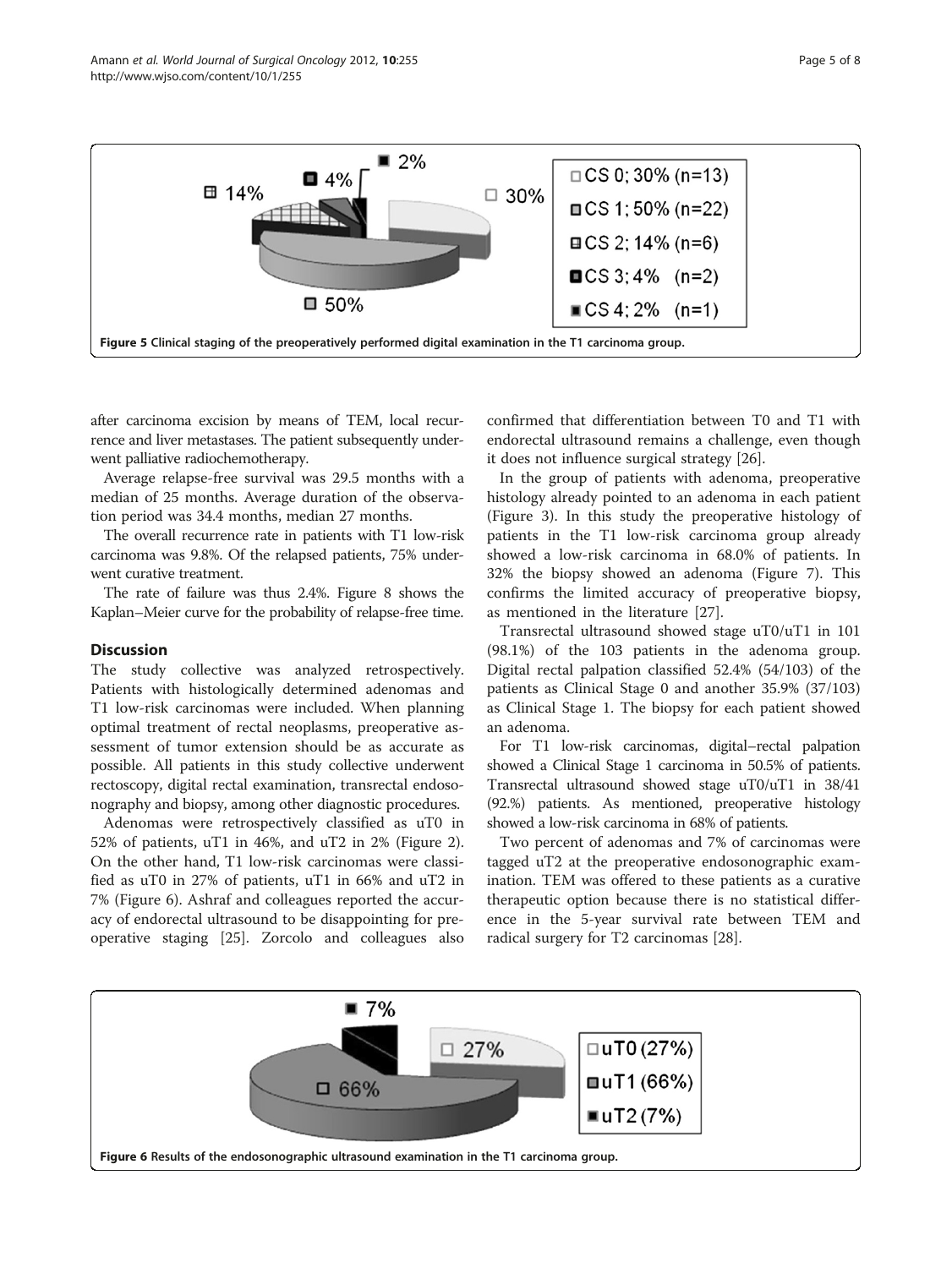<span id="page-4-0"></span>

after carcinoma excision by means of TEM, local recurrence and liver metastases. The patient subsequently underwent palliative radiochemotherapy.

Average relapse-free survival was 29.5 months with a median of 25 months. Average duration of the observation period was 34.4 months, median 27 months.

The overall recurrence rate in patients with T1 low-risk carcinoma was 9.8%. Of the relapsed patients, 75% underwent curative treatment.

The rate of failure was thus 2.4%. Figure [8](#page-6-0) shows the Kaplan–Meier curve for the probability of relapse-free time.

#### **Discussion**

The study collective was analyzed retrospectively. Patients with histologically determined adenomas and T1 low-risk carcinomas were included. When planning optimal treatment of rectal neoplasms, preoperative assessment of tumor extension should be as accurate as possible. All patients in this study collective underwent rectoscopy, digital rectal examination, transrectal endosonography and biopsy, among other diagnostic procedures.

Adenomas were retrospectively classified as uT0 in 52% of patients, uT1 in 46%, and uT2 in 2% (Figure [2](#page-2-0)). On the other hand, T1 low-risk carcinomas were classified as uT0 in 27% of patients, uT1 in 66% and uT2 in 7% (Figure 6). Ashraf and colleagues reported the accuracy of endorectal ultrasound to be disappointing for preoperative staging [[25\]](#page-7-0). Zorcolo and colleagues also

confirmed that differentiation between T0 and T1 with endorectal ultrasound remains a challenge, even though it does not influence surgical strategy [[26\]](#page-7-0).

In the group of patients with adenoma, preoperative histology already pointed to an adenoma in each patient (Figure [3\)](#page-2-0). In this study the preoperative histology of patients in the T1 low-risk carcinoma group already showed a low-risk carcinoma in 68.0% of patients. In 32% the biopsy showed an adenoma (Figure [7\)](#page-5-0). This confirms the limited accuracy of preoperative biopsy, as mentioned in the literature [[27\]](#page-7-0).

Transrectal ultrasound showed stage uT0/uT1 in 101 (98.1%) of the 103 patients in the adenoma group. Digital rectal palpation classified 52.4% (54/103) of the patients as Clinical Stage 0 and another 35.9% (37/103) as Clinical Stage 1. The biopsy for each patient showed an adenoma.

For T1 low-risk carcinomas, digital–rectal palpation showed a Clinical Stage 1 carcinoma in 50.5% of patients. Transrectal ultrasound showed stage uT0/uT1 in 38/41 (92.%) patients. As mentioned, preoperative histology showed a low-risk carcinoma in 68% of patients.

Two percent of adenomas and 7% of carcinomas were tagged uT2 at the preoperative endosonographic examination. TEM was offered to these patients as a curative therapeutic option because there is no statistical difference in the 5-year survival rate between TEM and radical surgery for T2 carcinomas [\[28](#page-7-0)].

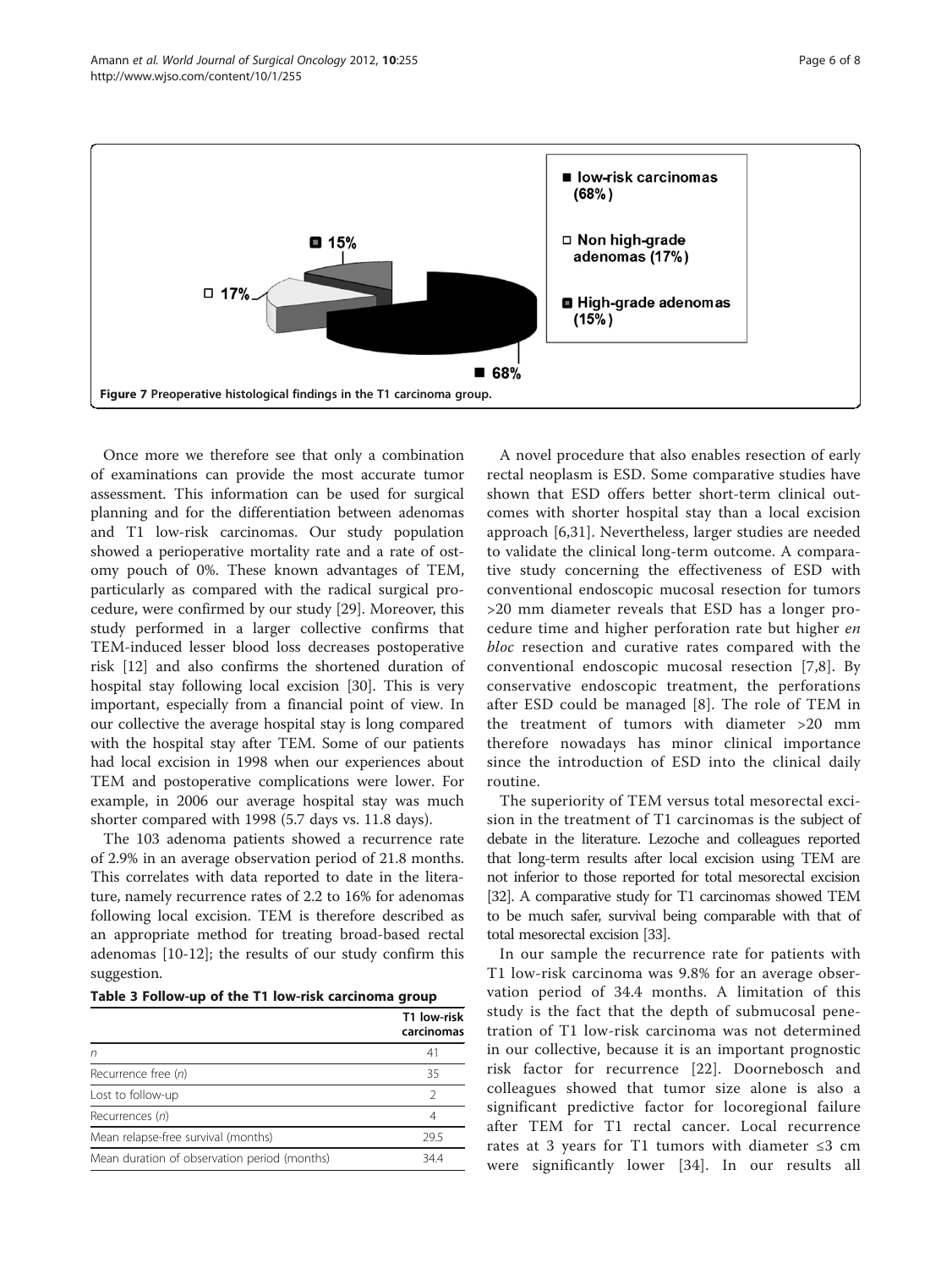<span id="page-5-0"></span>

Once more we therefore see that only a combination of examinations can provide the most accurate tumor assessment. This information can be used for surgical planning and for the differentiation between adenomas and T1 low-risk carcinomas. Our study population showed a perioperative mortality rate and a rate of ostomy pouch of 0%. These known advantages of TEM, particularly as compared with the radical surgical procedure, were confirmed by our study [\[29](#page-7-0)]. Moreover, this study performed in a larger collective confirms that TEM-induced lesser blood loss decreases postoperative risk [[12\]](#page-7-0) and also confirms the shortened duration of hospital stay following local excision [\[30](#page-7-0)]. This is very important, especially from a financial point of view. In our collective the average hospital stay is long compared with the hospital stay after TEM. Some of our patients had local excision in 1998 when our experiences about TEM and postoperative complications were lower. For example, in 2006 our average hospital stay was much shorter compared with 1998 (5.7 days vs. 11.8 days).

The 103 adenoma patients showed a recurrence rate of 2.9% in an average observation period of 21.8 months. This correlates with data reported to date in the literature, namely recurrence rates of 2.2 to 16% for adenomas following local excision. TEM is therefore described as an appropriate method for treating broad-based rectal adenomas [[10-12\]](#page-7-0); the results of our study confirm this suggestion.

| Table 3 Follow-up of the T1 low-risk carcinoma group |  |  |  |
|------------------------------------------------------|--|--|--|
|------------------------------------------------------|--|--|--|

|                                              | T1 low-risk<br>carcinomas |
|----------------------------------------------|---------------------------|
| n                                            | 41                        |
| Recurrence free (n)                          | 35                        |
| Lost to follow-up                            | 2                         |
| Recurrences (n)                              | 4                         |
| Mean relapse-free survival (months)          | 29.5                      |
| Mean duration of observation period (months) | 34.4                      |

A novel procedure that also enables resection of early rectal neoplasm is ESD. Some comparative studies have shown that ESD offers better short-term clinical outcomes with shorter hospital stay than a local excision approach [[6,31\]](#page-7-0). Nevertheless, larger studies are needed to validate the clinical long-term outcome. A comparative study concerning the effectiveness of ESD with conventional endoscopic mucosal resection for tumors >20 mm diameter reveals that ESD has a longer procedure time and higher perforation rate but higher en bloc resection and curative rates compared with the conventional endoscopic mucosal resection [[7,8](#page-7-0)]. By conservative endoscopic treatment, the perforations after ESD could be managed [[8\]](#page-7-0). The role of TEM in the treatment of tumors with diameter >20 mm therefore nowadays has minor clinical importance since the introduction of ESD into the clinical daily routine.

The superiority of TEM versus total mesorectal excision in the treatment of T1 carcinomas is the subject of debate in the literature. Lezoche and colleagues reported that long-term results after local excision using TEM are not inferior to those reported for total mesorectal excision [[32\]](#page-7-0). A comparative study for T1 carcinomas showed TEM to be much safer, survival being comparable with that of total mesorectal excision [\[33\]](#page-7-0).

In our sample the recurrence rate for patients with T1 low-risk carcinoma was 9.8% for an average observation period of 34.4 months. A limitation of this study is the fact that the depth of submucosal penetration of T1 low-risk carcinoma was not determined in our collective, because it is an important prognostic risk factor for recurrence [[22\]](#page-7-0). Doornebosch and colleagues showed that tumor size alone is also a significant predictive factor for locoregional failure after TEM for T1 rectal cancer. Local recurrence rates at 3 years for T1 tumors with diameter ≤3 cm were significantly lower [[34](#page-7-0)]. In our results all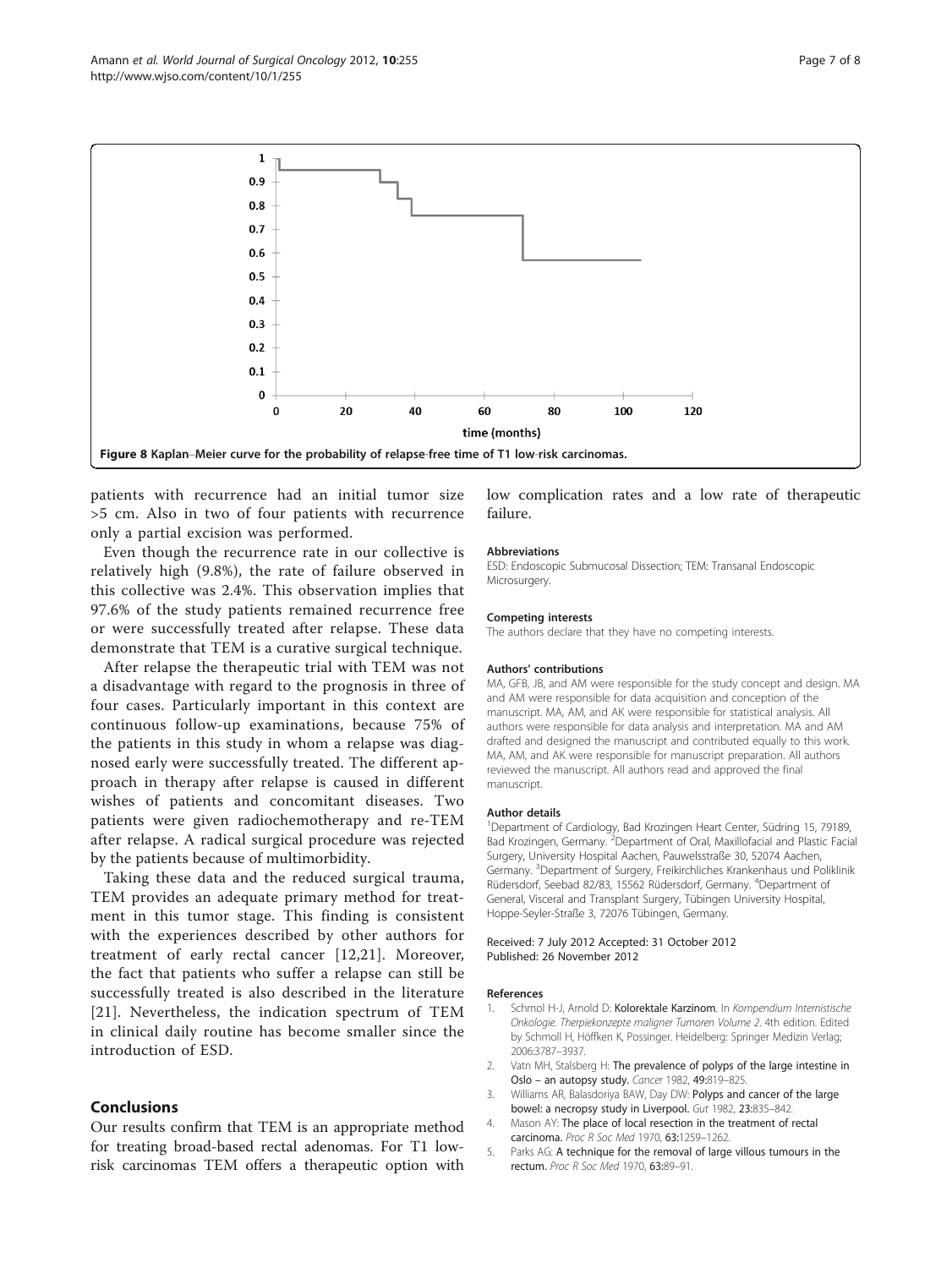<span id="page-6-0"></span>

patients with recurrence had an initial tumor size >5 cm. Also in two of four patients with recurrence only a partial excision was performed.

Even though the recurrence rate in our collective is relatively high (9.8%), the rate of failure observed in this collective was 2.4%. This observation implies that 97.6% of the study patients remained recurrence free or were successfully treated after relapse. These data demonstrate that TEM is a curative surgical technique.

After relapse the therapeutic trial with TEM was not a disadvantage with regard to the prognosis in three of four cases. Particularly important in this context are continuous follow-up examinations, because 75% of the patients in this study in whom a relapse was diagnosed early were successfully treated. The different approach in therapy after relapse is caused in different wishes of patients and concomitant diseases. Two patients were given radiochemotherapy and re-TEM after relapse. A radical surgical procedure was rejected by the patients because of multimorbidity.

Taking these data and the reduced surgical trauma, TEM provides an adequate primary method for treatment in this tumor stage. This finding is consistent with the experiences described by other authors for treatment of early rectal cancer [[12](#page-7-0),[21\]](#page-7-0). Moreover, the fact that patients who suffer a relapse can still be successfully treated is also described in the literature [[21](#page-7-0)]. Nevertheless, the indication spectrum of TEM in clinical daily routine has become smaller since the introduction of ESD.

# **Conclusions**

Our results confirm that TEM is an appropriate method for treating broad-based rectal adenomas. For T1 lowrisk carcinomas TEM offers a therapeutic option with low complication rates and a low rate of therapeutic failure.

#### Abbreviations

ESD: Endoscopic Submucosal Dissection; TEM: Transanal Endoscopic Microsurgery.

#### Competing interests

The authors declare that they have no competing interests.

#### Authors' contributions

MA, GFB, JB, and AM were responsible for the study concept and design. MA and AM were responsible for data acquisition and conception of the manuscript. MA, AM, and AK were responsible for statistical analysis. All authors were responsible for data analysis and interpretation. MA and AM drafted and designed the manuscript and contributed equally to this work. MA, AM, and AK were responsible for manuscript preparation. All authors reviewed the manuscript. All authors read and approved the final manuscript.

#### Author details

<sup>1</sup>Department of Cardiology, Bad Krozingen Heart Center, Südring 15, 79189 Bad Krozingen, Germany. <sup>2</sup> Department of Oral, Maxillofacial and Plastic Facial Surgery, University Hospital Aachen, Pauwelsstraße 30, 52074 Aachen, Germany. <sup>3</sup>Department of Surgery, Freikirchliches Krankenhaus und Poliklinik Rüdersdorf, Seebad 82/83, 15562 Rüdersdorf, Germany. <sup>4</sup>Department of General, Visceral and Transplant Surgery, Tübingen University Hospital, Hoppe-Seyler-Straße 3, 72076 Tübingen, Germany.

#### Received: 7 July 2012 Accepted: 31 October 2012 Published: 26 November 2012

#### References

- Schmol H-J, Arnold D: Kolorektale Karzinom. In Kompendium Internistische Onkologie. Therpiekonzepte maligner Tumoren Volume 2. 4th edition. Edited by Schmoll H, Höffken K, Possinger. Heidelberg: Springer Medizin Verlag; 2006:3787–3937.
- 2. Vatn MH, Stalsberg H: The prevalence of polyps of the large intestine in Oslo – an autopsy study. Cancer 1982, 49:819–825.
- 3. Williams AR, Balasdoriya BAW, Day DW: Polyps and cancer of the large bowel: a necropsy study in Liverpool. Gut 1982, 23:835–842.
- 4. Mason AY: The place of local resection in the treatment of rectal carcinoma. Proc R Soc Med 1970, 63:1259–1262.
- 5. Parks AG: A technique for the removal of large villous tumours in the rectum. Proc R Soc Med 1970, 63:89–91.